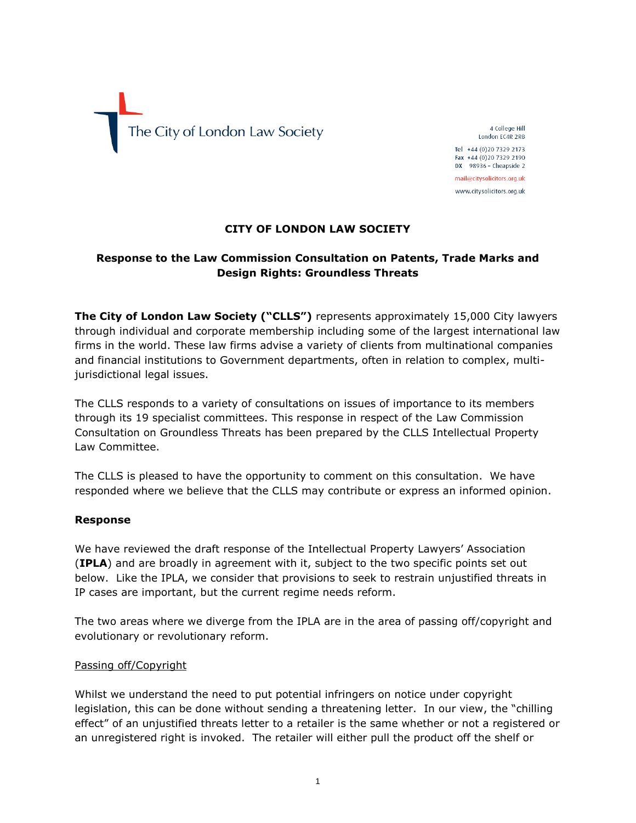

4 College Hill London EC4R 2RB Tel +44 (0)20 7329 2173 Fax +44 (0)20 7329 2190  $DX$  98936 - Cheapside 2 mail@citysolicitors.org.uk

www.citysolicitors.org.uk

## **CITY OF LONDON LAW SOCIETY**

# **Response to the Law Commission Consultation on Patents, Trade Marks and Design Rights: Groundless Threats**

**The City of London Law Society ("CLLS")** represents approximately 15,000 City lawyers through individual and corporate membership including some of the largest international law firms in the world. These law firms advise a variety of clients from multinational companies and financial institutions to Government departments, often in relation to complex, multijurisdictional legal issues.

The CLLS responds to a variety of consultations on issues of importance to its members through its 19 specialist committees. This response in respect of the Law Commission Consultation on Groundless Threats has been prepared by the CLLS Intellectual Property Law Committee.

The CLLS is pleased to have the opportunity to comment on this consultation. We have responded where we believe that the CLLS may contribute or express an informed opinion.

#### **Response**

We have reviewed the draft response of the Intellectual Property Lawyers' Association (**IPLA**) and are broadly in agreement with it, subject to the two specific points set out below. Like the IPLA, we consider that provisions to seek to restrain unjustified threats in IP cases are important, but the current regime needs reform.

The two areas where we diverge from the IPLA are in the area of passing off/copyright and evolutionary or revolutionary reform.

#### Passing off/Copyright

Whilst we understand the need to put potential infringers on notice under copyright legislation, this can be done without sending a threatening letter. In our view, the "chilling effect" of an unjustified threats letter to a retailer is the same whether or not a registered or an unregistered right is invoked. The retailer will either pull the product off the shelf or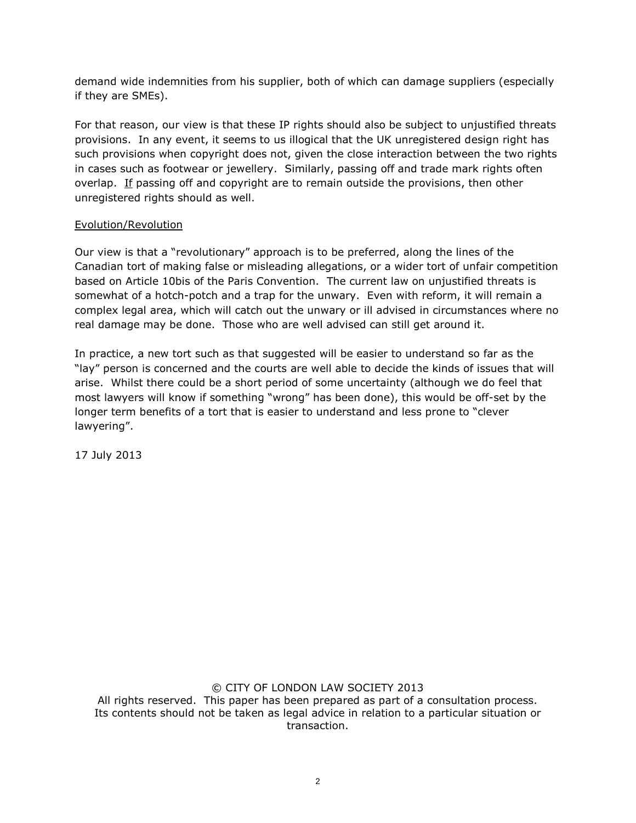demand wide indemnities from his supplier, both of which can damage suppliers (especially if they are SMEs).

For that reason, our view is that these IP rights should also be subject to unjustified threats provisions. In any event, it seems to us illogical that the UK unregistered design right has such provisions when copyright does not, given the close interaction between the two rights in cases such as footwear or jewellery. Similarly, passing off and trade mark rights often overlap. If passing off and copyright are to remain outside the provisions, then other unregistered rights should as well.

## Evolution/Revolution

Our view is that a "revolutionary" approach is to be preferred, along the lines of the Canadian tort of making false or misleading allegations, or a wider tort of unfair competition based on Article 10bis of the Paris Convention. The current law on unjustified threats is somewhat of a hotch-potch and a trap for the unwary. Even with reform, it will remain a complex legal area, which will catch out the unwary or ill advised in circumstances where no real damage may be done. Those who are well advised can still get around it.

In practice, a new tort such as that suggested will be easier to understand so far as the "lay" person is concerned and the courts are well able to decide the kinds of issues that will arise. Whilst there could be a short period of some uncertainty (although we do feel that most lawyers will know if something "wrong" has been done), this would be off-set by the longer term benefits of a tort that is easier to understand and less prone to "clever lawyering".

17 July 2013

#### © CITY OF LONDON LAW SOCIETY 2013

All rights reserved. This paper has been prepared as part of a consultation process. Its contents should not be taken as legal advice in relation to a particular situation or transaction.